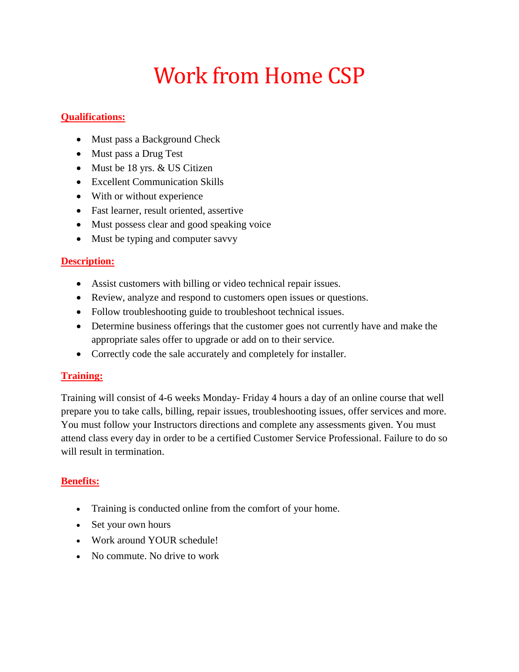## Work from Home CSP

## **Qualifications:**

- Must pass a Background Check
- Must pass a Drug Test
- Must be 18 yrs. & US Citizen
- Excellent Communication Skills
- With or without experience
- Fast learner, result oriented, assertive
- Must possess clear and good speaking voice
- Must be typing and computer savvy

## **Description:**

- Assist customers with billing or video technical repair issues.
- Review, analyze and respond to customers open issues or questions.
- Follow troubleshooting guide to troubleshoot technical issues.
- Determine business offerings that the customer goes not currently have and make the appropriate sales offer to upgrade or add on to their service.
- Correctly code the sale accurately and completely for installer.

## **Training:**

Training will consist of 4-6 weeks Monday- Friday 4 hours a day of an online course that well prepare you to take calls, billing, repair issues, troubleshooting issues, offer services and more. You must follow your Instructors directions and complete any assessments given. You must attend class every day in order to be a certified Customer Service Professional. Failure to do so will result in termination.

## **Benefits:**

- Training is conducted online from the comfort of your home.
- Set your own hours
- Work around YOUR schedule!
- No commute. No drive to work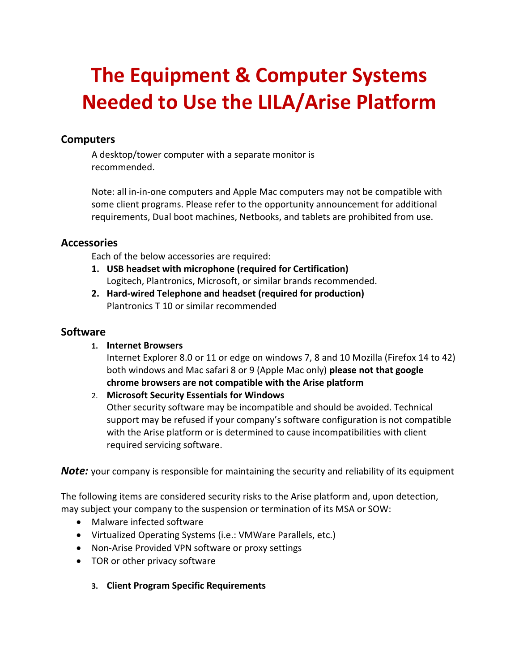## **The Equipment & Computer Systems Needed to Use the LILA/Arise Platform**

## **Computers**

A desktop/tower computer with a separate monitor is recommended.

Note: all in-in-one computers and Apple Mac computers may not be compatible with some client programs. Please refer to the opportunity announcement for additional requirements, Dual boot machines, Netbooks, and tablets are prohibited from use.

### **Accessories**

Each of the below accessories are required:

- **1. USB headset with microphone (required for Certification)**  Logitech, Plantronics, Microsoft, or similar brands recommended.
- **2. Hard-wired Telephone and headset (required for production)** Plantronics T 10 or similar recommended

## **Software**

#### **1. Internet Browsers**

Internet Explorer 8.0 or 11 or edge on windows 7, 8 and 10 Mozilla (Firefox 14 to 42) both windows and Mac safari 8 or 9 (Apple Mac only) **please not that google chrome browsers are not compatible with the Arise platform**

2. **Microsoft Security Essentials for Windows** 

Other security software may be incompatible and should be avoided. Technical support may be refused if your company's software configuration is not compatible with the Arise platform or is determined to cause incompatibilities with client required servicing software.

**Note:** your company is responsible for maintaining the security and reliability of its equipment

The following items are considered security risks to the Arise platform and, upon detection, may subject your company to the suspension or termination of its MSA or SOW:

- Malware infected software
- Virtualized Operating Systems (i.e.: VMWare Parallels, etc.)
- Non-Arise Provided VPN software or proxy settings
- TOR or other privacy software
	- **3. Client Program Specific Requirements**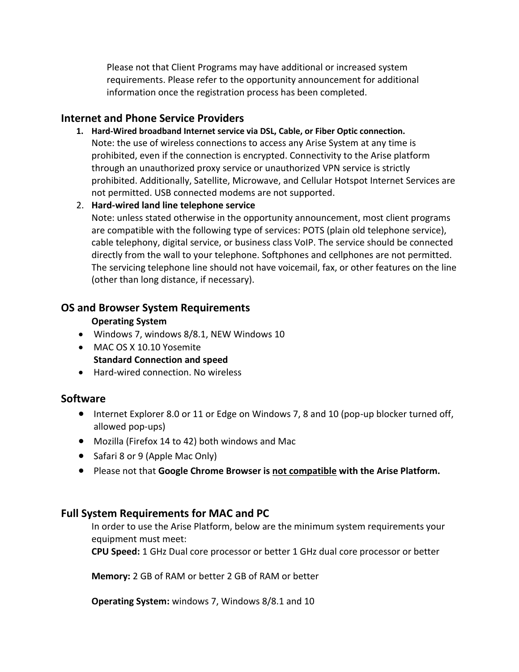Please not that Client Programs may have additional or increased system requirements. Please refer to the opportunity announcement for additional information once the registration process has been completed.

## **Internet and Phone Service Providers**

- **1. Hard-Wired broadband Internet service via DSL, Cable, or Fiber Optic connection.**  Note: the use of wireless connections to access any Arise System at any time is prohibited, even if the connection is encrypted. Connectivity to the Arise platform through an unauthorized proxy service or unauthorized VPN service is strictly prohibited. Additionally, Satellite, Microwave, and Cellular Hotspot Internet Services are not permitted. USB connected modems are not supported.
- 2. **Hard-wired land line telephone service** Note: unless stated otherwise in the opportunity announcement, most client programs are compatible with the following type of services: POTS (plain old telephone service), cable telephony, digital service, or business class VoIP. The service should be connected directly from the wall to your telephone. Softphones and cellphones are not permitted. The servicing telephone line should not have voicemail, fax, or other features on the line (other than long distance, if necessary).

## **OS and Browser System Requirements**

## **Operating System**

- Windows 7, windows 8/8.1, NEW Windows 10
- MAC OS X 10.10 Yosemite **Standard Connection and speed**
- Hard-wired connection. No wireless

## **Software**

- Internet Explorer 8.0 or 11 or Edge on Windows 7, 8 and 10 (pop-up blocker turned off, allowed pop-ups)
- Mozilla (Firefox 14 to 42) both windows and Mac
- Safari 8 or 9 (Apple Mac Only)
- Please not that **Google Chrome Browser is not compatible with the Arise Platform.**

## **Full System Requirements for MAC and PC**

In order to use the Arise Platform, below are the minimum system requirements your equipment must meet:

**CPU Speed:** 1 GHz Dual core processor or better 1 GHz dual core processor or better

**Memory:** 2 GB of RAM or better 2 GB of RAM or better

**Operating System:** windows 7, Windows 8/8.1 and 10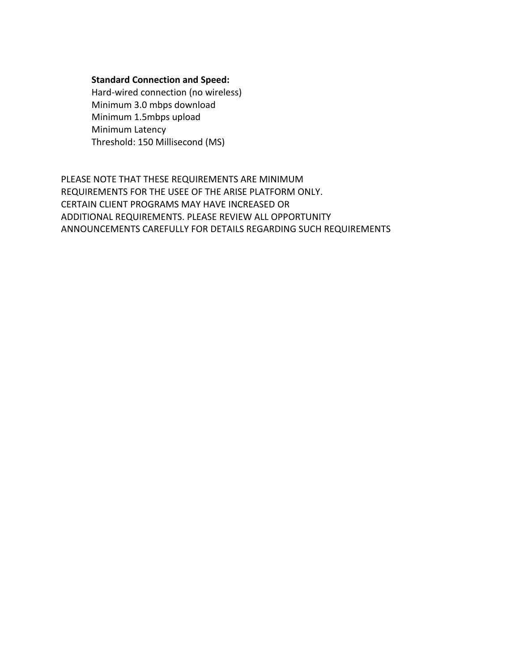#### **Standard Connection and Speed:**

Hard-wired connection (no wireless) Minimum 3.0 mbps download Minimum 1.5mbps upload Minimum Latency Threshold: 150 Millisecond (MS)

PLEASE NOTE THAT THESE REQUIREMENTS ARE MINIMUM REQUIREMENTS FOR THE USEE OF THE ARISE PLATFORM ONLY. CERTAIN CLIENT PROGRAMS MAY HAVE INCREASED OR ADDITIONAL REQUIREMENTS. PLEASE REVIEW ALL OPPORTUNITY ANNOUNCEMENTS CAREFULLY FOR DETAILS REGARDING SUCH REQUIREMENTS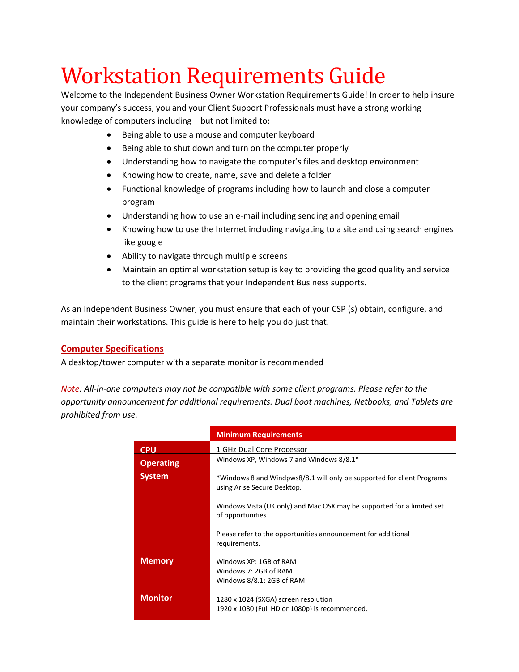## Workstation Requirements Guide

Welcome to the Independent Business Owner Workstation Requirements Guide! In order to help insure your company's success, you and your Client Support Professionals must have a strong working knowledge of computers including – but not limited to:

- Being able to use a mouse and computer keyboard
- Being able to shut down and turn on the computer properly
- Understanding how to navigate the computer's files and desktop environment
- Knowing how to create, name, save and delete a folder
- Functional knowledge of programs including how to launch and close a computer program
- Understanding how to use an e-mail including sending and opening email
- Knowing how to use the Internet including navigating to a site and using search engines like google
- Ability to navigate through multiple screens
- Maintain an optimal workstation setup is key to providing the good quality and service to the client programs that your Independent Business supports.

As an Independent Business Owner, you must ensure that each of your CSP (s) obtain, configure, and maintain their workstations. This guide is here to help you do just that.

#### **Computer Specifications**

A desktop/tower computer with a separate monitor is recommended

*Note: All-in-one computers may not be compatible with some client programs. Please refer to the opportunity announcement for additional requirements. Dual boot machines, Netbooks, and Tablets are prohibited from use.* 

|                  | <b>Minimum Requirements</b>                                                                           |  |
|------------------|-------------------------------------------------------------------------------------------------------|--|
| <b>CPU</b>       | 1 GHz Dual Core Processor                                                                             |  |
| <b>Operating</b> | Windows XP, Windows 7 and Windows $8/8.1*$                                                            |  |
| <b>System</b>    | *Windows 8 and Windpws8/8.1 will only be supported for client Programs<br>using Arise Secure Desktop. |  |
|                  | Windows Vista (UK only) and Mac OSX may be supported for a limited set<br>of opportunities            |  |
|                  | Please refer to the opportunities announcement for additional<br>requirements.                        |  |
| <b>Memory</b>    | Windows XP: 1GB of RAM<br>Windows 7: 2GB of RAM<br>Windows 8/8.1: 2GB of RAM                          |  |
| <b>Monitor</b>   | 1280 x 1024 (SXGA) screen resolution<br>1920 x 1080 (Full HD or 1080p) is recommended.                |  |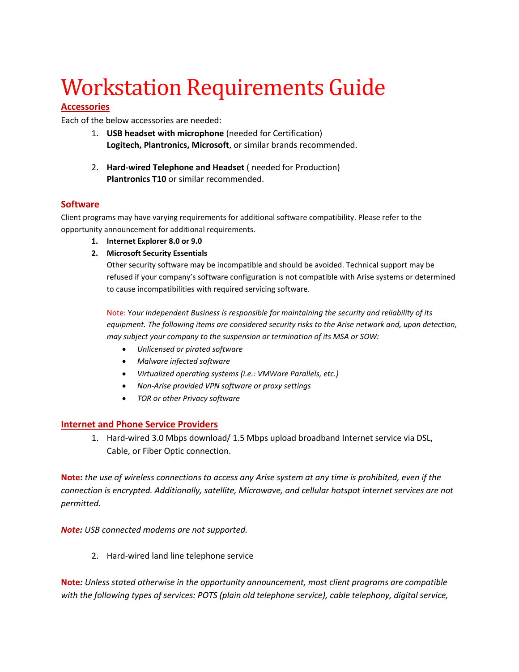# Workstation Requirements Guide

#### **Accessories**

Each of the below accessories are needed:

- 1. **USB headset with microphone** (needed for Certification) **Logitech, Plantronics, Microsoft**, or similar brands recommended.
- 2. **Hard-wired Telephone and Headset** ( needed for Production) **Plantronics T10** or similar recommended.

#### **Software**

Client programs may have varying requirements for additional software compatibility. Please refer to the opportunity announcement for additional requirements.

- **1. Internet Explorer 8.0 or 9.0**
- **2. Microsoft Security Essentials**

Other security software may be incompatible and should be avoided. Technical support may be refused if your company's software configuration is not compatible with Arise systems or determined to cause incompatibilities with required servicing software.

Note: Y*our Independent Business is responsible for maintaining the security and reliability of its*  equipment. The following items are considered security risks to the Arise network and, upon detection, *may subject your company to the suspension or termination of its MSA or SOW:* 

- *Unlicensed or pirated software*
- *Malware infected software*
- *Virtualized operating systems (i.e.: VMWare Parallels, etc.)*
- *Non-Arise provided VPN software or proxy settings*
- *TOR or other Privacy software*

#### **Internet and Phone Service Providers**

1. Hard-wired 3.0 Mbps download/ 1.5 Mbps upload broadband Internet service via DSL, Cable, or Fiber Optic connection.

**Note:** *the use of wireless connections to access any Arise system at any time is prohibited, even if the connection is encrypted. Additionally, satellite, Microwave, and cellular hotspot internet services are not permitted.* 

*Note: USB connected modems are not supported.*

2. Hard-wired land line telephone service

**Note***: Unless stated otherwise in the opportunity announcement, most client programs are compatible with the following types of services: POTS (plain old telephone service), cable telephony, digital service,*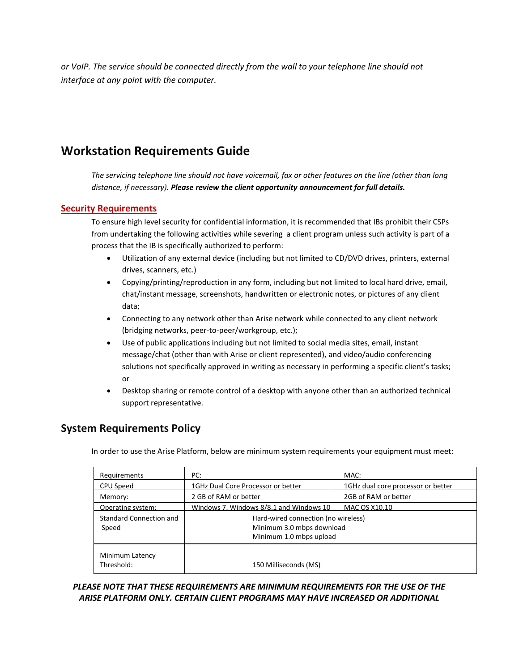*or VoIP. The service should be connected directly from the wall to your telephone line should not interface at any point with the computer.* 

## **Workstation Requirements Guide**

*The servicing telephone line should not have voicemail, fax or other features on the line (other than long distance, if necessary). Please review the client opportunity announcement for full details.*

#### **Security Requirements**

To ensure high level security for confidential information, it is recommended that IBs prohibit their CSPs from undertaking the following activities while severing a client program unless such activity is part of a process that the IB is specifically authorized to perform:

- Utilization of any external device (including but not limited to CD/DVD drives, printers, external drives, scanners, etc.)
- Copying/printing/reproduction in any form, including but not limited to local hard drive, email, chat/instant message, screenshots, handwritten or electronic notes, or pictures of any client data;
- Connecting to any network other than Arise network while connected to any client network (bridging networks, peer-to-peer/workgroup, etc.);
- Use of public applications including but not limited to social media sites, email, instant message/chat (other than with Arise or client represented), and video/audio conferencing solutions not specifically approved in writing as necessary in performing a specific client's tasks; or
- Desktop sharing or remote control of a desktop with anyone other than an authorized technical support representative.

## **System Requirements Policy**

In order to use the Arise Platform, below are minimum system requirements your equipment must meet:

| Requirements                  | PC:                                     | MAC:                               |
|-------------------------------|-----------------------------------------|------------------------------------|
| CPU Speed                     | 1GHz Dual Core Processor or better      | 1GHz dual core processor or better |
| Memory:                       | 2 GB of RAM or better                   | 2GB of RAM or better               |
| Operating system:             | Windows 7, Windows 8/8.1 and Windows 10 | MAC OS X10.10                      |
| Standard Connection and       | Hard-wired connection (no wireless)     |                                    |
| Speed                         | Minimum 3.0 mbps download               |                                    |
|                               | Minimum 1.0 mbps upload                 |                                    |
| Minimum Latency<br>Threshold: | 150 Milliseconds (MS)                   |                                    |

#### *PLEASE NOTE THAT THESE REQUIREMENTS ARE MINIMUM REQUIREMENTS FOR THE USE OF THE ARISE PLATFORM ONLY. CERTAIN CLIENT PROGRAMS MAY HAVE INCREASED OR ADDITIONAL*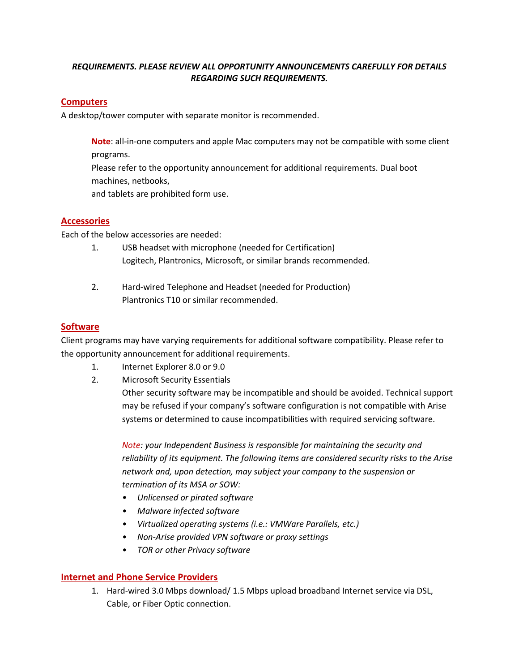#### *REQUIREMENTS. PLEASE REVIEW ALL OPPORTUNITY ANNOUNCEMENTS CAREFULLY FOR DETAILS REGARDING SUCH REQUIREMENTS.*

#### **Computers**

A desktop/tower computer with separate monitor is recommended.

**Note**: all-in-one computers and apple Mac computers may not be compatible with some client programs.

Please refer to the opportunity announcement for additional requirements. Dual boot machines, netbooks,

and tablets are prohibited form use.

#### **Accessories**

Each of the below accessories are needed:

- 1. USB headset with microphone (needed for Certification) Logitech, Plantronics, Microsoft, or similar brands recommended.
- 2. Hard-wired Telephone and Headset (needed for Production) Plantronics T10 or similar recommended.

#### **Software**

Client programs may have varying requirements for additional software compatibility. Please refer to the opportunity announcement for additional requirements.

- 1. Internet Explorer 8.0 or 9.0
- 2. Microsoft Security Essentials

Other security software may be incompatible and should be avoided. Technical support may be refused if your company's software configuration is not compatible with Arise systems or determined to cause incompatibilities with required servicing software.

*Note: your Independent Business is responsible for maintaining the security and reliability of its equipment. The following items are considered security risks to the Arise network and, upon detection, may subject your company to the suspension or termination of its MSA or SOW:* 

- *Unlicensed or pirated software*
- *Malware infected software*
- *Virtualized operating systems (i.e.: VMWare Parallels, etc.)*
- *Non-Arise provided VPN software or proxy settings*
- *TOR or other Privacy software*

#### **Internet and Phone Service Providers**

1. Hard-wired 3.0 Mbps download/ 1.5 Mbps upload broadband Internet service via DSL, Cable, or Fiber Optic connection.